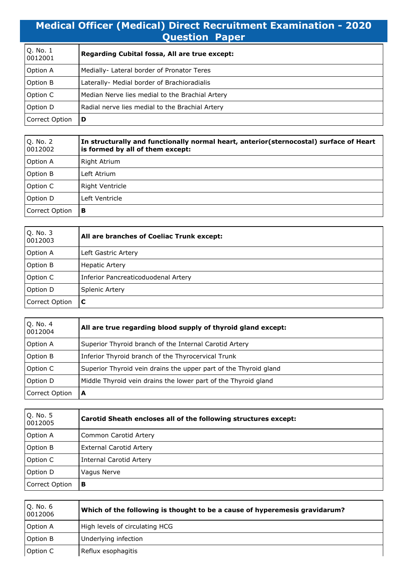## **Medical Officer (Medical) Direct Recruitment Examination - 2020 Question Paper**

| Q. No. 1<br>0012001 | Regarding Cubital fossa, All are true except:   |
|---------------------|-------------------------------------------------|
| Option A            | Medially- Lateral border of Pronator Teres      |
| <b>Option B</b>     | Laterally- Medial border of Brachioradialis     |
| Option C            | Median Nerve lies medial to the Brachial Artery |
| Option D            | Radial nerve lies medial to the Brachial Artery |
| Correct Option      | D                                               |

| Q. No. 2<br>0012002 | In structurally and functionally normal heart, anterior(sternocostal) surface of Heart<br>is formed by all of them except: |
|---------------------|----------------------------------------------------------------------------------------------------------------------------|
| Option A            | Right Atrium                                                                                                               |
| Option B            | Left Atrium                                                                                                                |
| Option C            | Right Ventricle                                                                                                            |
| Option D            | Left Ventricle                                                                                                             |
| Correct Option      | в                                                                                                                          |

| Q. No. 3<br>0012003 | All are branches of Coeliac Trunk except: |
|---------------------|-------------------------------------------|
| Option A            | Left Gastric Artery                       |
| Option B            | <b>Hepatic Artery</b>                     |
| Option C            | Inferior Pancreaticoduodenal Artery       |
| Option D            | Splenic Artery                            |
| Correct Option      | C                                         |

| Q. No. 4<br>0012004 | All are true regarding blood supply of thyroid gland except:     |
|---------------------|------------------------------------------------------------------|
| Option A            | Superior Thyroid branch of the Internal Carotid Artery           |
| Option B            | Inferior Thyroid branch of the Thyrocervical Trunk               |
| Option C            | Superior Thyroid vein drains the upper part of the Thyroid gland |
| Option D            | Middle Thyroid vein drains the lower part of the Thyroid gland   |
| Correct Option      | A                                                                |

| Q. No. 5<br>0012005 | Carotid Sheath encloses all of the following structures except: |
|---------------------|-----------------------------------------------------------------|
| Option A            | Common Carotid Artery                                           |
| Option B            | <b>External Carotid Artery</b>                                  |
| Option C            | <b>Internal Carotid Artery</b>                                  |
| Option D            | Vagus Nerve                                                     |
| Correct Option      | В                                                               |

| Q. No. 6<br>0012006 | Which of the following is thought to be a cause of hyperemesis gravidarum? |
|---------------------|----------------------------------------------------------------------------|
| Option A            | High levels of circulating HCG                                             |
| Option B            | Underlying infection                                                       |
| Option C            | Reflux esophagitis                                                         |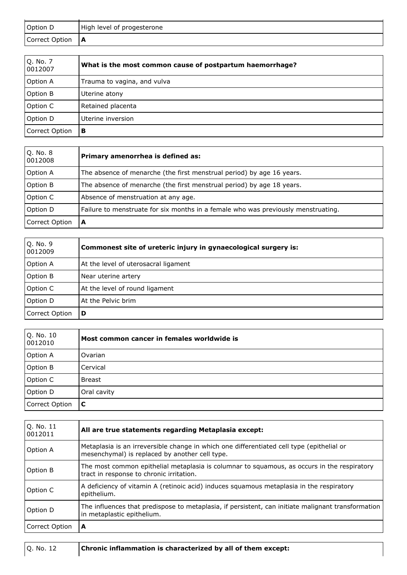| Option D            | High level of progesterone                               |
|---------------------|----------------------------------------------------------|
| Correct Option      | A                                                        |
|                     |                                                          |
| Q. No. 7<br>0012007 | What is the most common cause of postpartum haemorrhage? |
| Option A            | Trauma to vagina, and vulva                              |
| Option B            | Uterine atony                                            |
| Option C            | Retained placenta                                        |
| Option D            | Uterine inversion                                        |
| Correct Option      | В                                                        |
|                     |                                                          |
| Q. No. 8<br>0012008 | Primary amenorrhea is defined as:                        |

| Option A        | The absence of menarche (the first menstrual period) by age 16 years.             |
|-----------------|-----------------------------------------------------------------------------------|
| <b>Option B</b> | The absence of menarche (the first menstrual period) by age 18 years.             |
| Option C        | Absence of menstruation at any age.                                               |
| <b>Option D</b> | Failure to menstruate for six months in a female who was previously menstruating. |
| Correct Option  | A                                                                                 |

| Q. No. 9<br>0012009 | Commonest site of ureteric injury in gynaecological surgery is: |
|---------------------|-----------------------------------------------------------------|
| <b>Option A</b>     | At the level of uterosacral ligament                            |
| Option B            | Near uterine artery                                             |
| Option C            | At the level of round ligament                                  |
| Option D            | At the Pelvic brim                                              |
| Correct Option      | D                                                               |

| Q. No. 10<br>0012010 | Most common cancer in females worldwide is |
|----------------------|--------------------------------------------|
| Option A             | Ovarian                                    |
| Option B             | Cervical                                   |
| Option C             | <b>Breast</b>                              |
| Option D             | Oral cavity                                |
| Correct Option       | C                                          |

| Q. No. 11<br>0012011 | All are true statements regarding Metaplasia except:                                                                                        |
|----------------------|---------------------------------------------------------------------------------------------------------------------------------------------|
| Option A             | Metaplasia is an irreversible change in which one differentiated cell type (epithelial or<br>mesenchymal) is replaced by another cell type. |
| Option B             | The most common epithelial metaplasia is columnar to squamous, as occurs in the respiratory<br>tract in response to chronic irritation.     |
| Option C             | A deficiency of vitamin A (retinoic acid) induces squamous metaplasia in the respiratory<br>epithelium.                                     |
| Option D             | The influences that predispose to metaplasia, if persistent, can initiate malignant transformation<br>in metaplastic epithelium.            |
| Correct Option       | A                                                                                                                                           |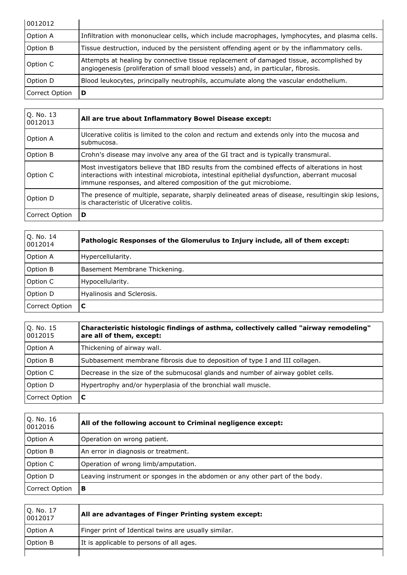| 0012012        |                                                                                                                                                                              |
|----------------|------------------------------------------------------------------------------------------------------------------------------------------------------------------------------|
| Option A       | Infiltration with mononuclear cells, which include macrophages, lymphocytes, and plasma cells.                                                                               |
| Option B       | Tissue destruction, induced by the persistent offending agent or by the inflammatory cells.                                                                                  |
| Option C       | Attempts at healing by connective tissue replacement of damaged tissue, accomplished by<br>angiogenesis (proliferation of small blood vessels) and, in particular, fibrosis. |
| Option D       | Blood leukocytes, principally neutrophils, accumulate along the vascular endothelium.                                                                                        |
| Correct Option | D                                                                                                                                                                            |

| O. No. 13<br>0012013 | All are true about Inflammatory Bowel Disease except:                                                                                                                                                                                                            |
|----------------------|------------------------------------------------------------------------------------------------------------------------------------------------------------------------------------------------------------------------------------------------------------------|
| Option A             | Ulcerative colitis is limited to the colon and rectum and extends only into the mucosa and<br>submucosa.                                                                                                                                                         |
| Option B             | Crohn's disease may involve any area of the GI tract and is typically transmural.                                                                                                                                                                                |
| Option C             | Most investigators believe that IBD results from the combined effects of alterations in host<br>interactions with intestinal microbiota, intestinal epithelial dysfunction, aberrant mucosal<br>immune responses, and altered composition of the gut microbiome. |
| Option D             | The presence of multiple, separate, sharply delineated areas of disease, resultingin skip lesions,<br>is characteristic of Ulcerative colitis.                                                                                                                   |
| Correct Option       | D                                                                                                                                                                                                                                                                |

| Q. No. 14<br>0012014 | Pathologic Responses of the Glomerulus to Injury include, all of them except: |
|----------------------|-------------------------------------------------------------------------------|
| <b>Option A</b>      | Hypercellularity.                                                             |
| Option B             | Basement Membrane Thickening.                                                 |
| Option C             | Hypocellularity.                                                              |
| Option D             | Hyalinosis and Sclerosis.                                                     |
| Correct Option       | C                                                                             |

| Q. No. 15<br>0012015 | Characteristic histologic findings of asthma, collectively called "airway remodeling"<br>are all of them, except: |
|----------------------|-------------------------------------------------------------------------------------------------------------------|
| Option A             | Thickening of airway wall.                                                                                        |
| Option B             | Subbasement membrane fibrosis due to deposition of type I and III collagen.                                       |
| Option C             | Decrease in the size of the submucosal glands and number of airway goblet cells.                                  |
| Option D             | Hypertrophy and/or hyperplasia of the bronchial wall muscle.                                                      |
| Correct Option       | C                                                                                                                 |

| Q. No. 16<br>0012016 | All of the following account to Criminal negligence except:                 |
|----------------------|-----------------------------------------------------------------------------|
| Option A             | Operation on wrong patient.                                                 |
| Option B             | An error in diagnosis or treatment.                                         |
| Option C             | Operation of wrong limb/amputation.                                         |
| Option D             | Leaving instrument or sponges in the abdomen or any other part of the body. |
| Correct Option       | в                                                                           |

| Q. No. 17<br>0012017 | All are advantages of Finger Printing system except: |
|----------------------|------------------------------------------------------|
| Option A             | Finger print of Identical twins are usually similar. |
| Option B             | It is applicable to persons of all ages.             |
|                      |                                                      |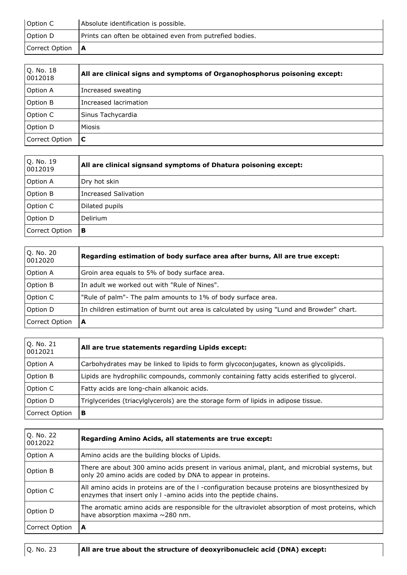| Option C       | Absolute identification is possible.                     |
|----------------|----------------------------------------------------------|
| Option D       | Prints can often be obtained even from putrefied bodies. |
| Correct Option | $\overline{A}$                                           |

| Q. No. 18<br>0012018 | All are clinical signs and symptoms of Organophosphorus poisoning except: |
|----------------------|---------------------------------------------------------------------------|
| Option A             | Increased sweating                                                        |
| Option B             | Increased lacrimation                                                     |
| Option C             | Sinus Tachycardia                                                         |
| Option D             | Miosis                                                                    |
| Correct Option       | C                                                                         |

| Q. No. 19<br>0012019 | All are clinical signsand symptoms of Dhatura poisoning except: |
|----------------------|-----------------------------------------------------------------|
| Option A             | Dry hot skin                                                    |
| Option B             | Increased Salivation                                            |
| Option C             | Dilated pupils                                                  |
| Option D             | Delirium                                                        |
| Correct Option       | в                                                               |

| Q. No. 20<br>0012020 | Regarding estimation of body surface area after burns, All are true except:               |
|----------------------|-------------------------------------------------------------------------------------------|
| Option A             | Groin area equals to 5% of body surface area.                                             |
| Option B             | In adult we worked out with "Rule of Nines".                                              |
| Option C             | "Rule of palm"- The palm amounts to 1% of body surface area.                              |
| Option D             | In children estimation of burnt out area is calculated by using "Lund and Browder" chart. |
| Correct Option       | A                                                                                         |

| Q. No. 21<br>0012021 | All are true statements regarding Lipids except:                                          |
|----------------------|-------------------------------------------------------------------------------------------|
| Option A             | Carbohydrates may be linked to lipids to form glycoconjugates, known as glycolipids.      |
| Option B             | Lipids are hydrophilic compounds, commonly containing fatty acids esterified to glycerol. |
| Option C             | Fatty acids are long-chain alkanoic acids.                                                |
| Option D             | Triglycerides (triacylglycerols) are the storage form of lipids in adipose tissue.        |
| Correct Option       | в                                                                                         |

| Q. No. 22<br>0012022 | Regarding Amino Acids, all statements are true except:                                                                                                             |
|----------------------|--------------------------------------------------------------------------------------------------------------------------------------------------------------------|
| Option A             | Amino acids are the building blocks of Lipids.                                                                                                                     |
| Option B             | There are about 300 amino acids present in various animal, plant, and microbial systems, but<br>only 20 amino acids are coded by DNA to appear in proteins.        |
| Option C             | All amino acids in proteins are of the I -configuration because proteins are biosynthesized by<br>enzymes that insert only I -amino acids into the peptide chains. |
| Option D             | The aromatic amino acids are responsible for the ultraviolet absorption of most proteins, which<br>have absorption maxima $\sim$ 280 nm.                           |
| Correct Option       | A                                                                                                                                                                  |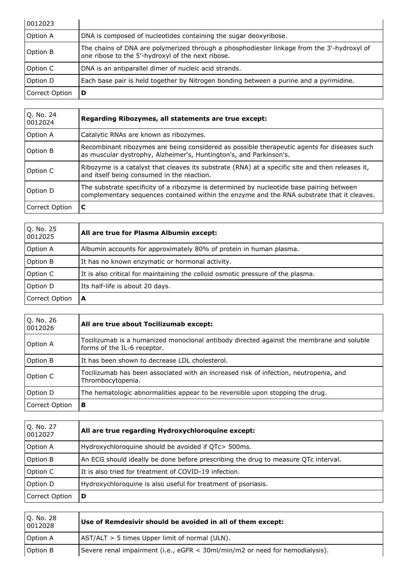| 0012023        |                                                                                                                                                 |
|----------------|-------------------------------------------------------------------------------------------------------------------------------------------------|
| Option A       | DNA is composed of nucleotides containing the sugar deoxyribose.                                                                                |
| Option B       | The chains of DNA are polymerized through a phosphodiester linkage from the 3'-hydroxyl of<br>one ribose to the 5'-hydroxyl of the next ribose. |
| Option C       | DNA is an antiparallel dimer of nucleic acid strands.                                                                                           |
| Option D       | Each base pair is held together by Nitrogen bonding between a purine and a pyrimidine.                                                          |
| Correct Option | D                                                                                                                                               |

| Q. No. 24<br>0012024 | Regarding Ribozymes, all statements are true except:                                                                                                                                   |
|----------------------|----------------------------------------------------------------------------------------------------------------------------------------------------------------------------------------|
| Option A             | Catalytic RNAs are known as ribozymes.                                                                                                                                                 |
| Option B             | Recombinant ribozymes are being considered as possible therapeutic agents for diseases such<br>as muscular dystrophy, Alzheimer's, Huntington's, and Parkinson's.                      |
| Option C             | Ribozyme is a catalyst that cleaves its substrate (RNA) at a specific site and then releases it,<br>and itself being consumed in the reaction.                                         |
| Option D             | The substrate specificity of a ribozyme is determined by nucleotide base pairing between<br>complementary sequences contained within the enzyme and the RNA substrate that it cleaves. |
| Correct Option       | C                                                                                                                                                                                      |

| Q. No. 25<br>0012025 | All are true for Plasma Albumin except:                                         |
|----------------------|---------------------------------------------------------------------------------|
| Option A             | Albumin accounts for approximately 80% of protein in human plasma.              |
| Option B             | It has no known enzymatic or hormonal activity.                                 |
| Option C             | It is also critical for maintaining the colloid osmotic pressure of the plasma. |
| Option D             | Its half-life is about 20 days.                                                 |
| Correct Option       | A                                                                               |

| Q. No. 26<br>0012026 | All are true about Tocilizumab except:                                                                                  |
|----------------------|-------------------------------------------------------------------------------------------------------------------------|
| Option A             | Tocilizumab is a humanized monoclonal antibody directed against the membrane and soluble<br>forms of the IL-6 receptor. |
| Option B             | It has been shown to decrease LDL cholesterol.                                                                          |
| Option C             | Tocilizumab has been associated with an increased risk of infection, neutropenia, and<br>Thrombocytopenia.              |
| Option D             | The hematologic abnormalities appear to be reversible upon stopping the drug.                                           |
| Correct Option       | в                                                                                                                       |

| O. No. 27<br>0012027 | All are true regarding Hydroxychloroquine except:                                  |
|----------------------|------------------------------------------------------------------------------------|
| Option A             | Hydroxychloroquine should be avoided if QTc> 500ms.                                |
| Option B             | An ECG should ideally be done before prescribing the drug to measure QTc interval. |
| Option C             | It is also tried for treatment of COVID-19 infection.                              |
| Option D             | Hydroxychloroquine is also useful for treatment of psoriasis.                      |
| Correct Option       | D                                                                                  |

| O. No. 28<br>0012028 | Use of Remdesivir should be avoided in all of them except:                   |
|----------------------|------------------------------------------------------------------------------|
| Option A             | $ \text{AST/ALT} > 5$ times Upper limit of normal (ULN).                     |
| Option B             | Severe renal impairment (i.e., eGFR < 30ml/min/m2 or need for hemodialysis). |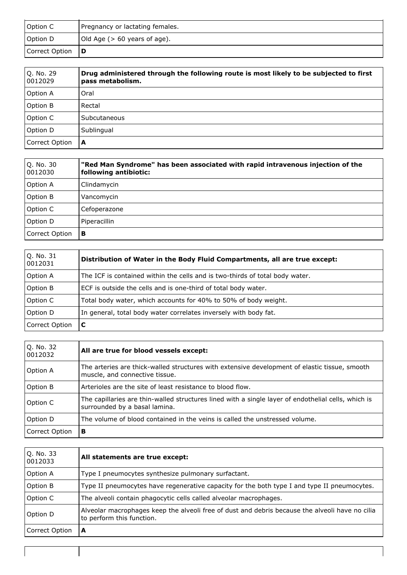| Option C       | Pregnancy or lactating females. |
|----------------|---------------------------------|
| Option D       | Old Age ( $> 60$ years of age). |
| Correct Option | l D                             |

| Q. No. 29<br>0012029 | Drug administered through the following route is most likely to be subjected to first<br>pass metabolism. |
|----------------------|-----------------------------------------------------------------------------------------------------------|
| <b>Option A</b>      | Oral                                                                                                      |
| Option B             | Rectal                                                                                                    |
| Option C             | Subcutaneous                                                                                              |
| Option D             | Sublingual                                                                                                |
| Correct Option       | A                                                                                                         |

| Q. No. 30<br>0012030 | "Red Man Syndrome" has been associated with rapid intravenous injection of the<br>following antibiotic: |
|----------------------|---------------------------------------------------------------------------------------------------------|
| Option A             | Clindamycin                                                                                             |
| Option B             | Vancomycin                                                                                              |
| Option C             | Cefoperazone                                                                                            |
| Option D             | Piperacillin                                                                                            |
| Correct Option       | в                                                                                                       |

| Q. No. 31<br>0012031 | Distribution of Water in the Body Fluid Compartments, all are true except:   |
|----------------------|------------------------------------------------------------------------------|
| <b>Option A</b>      | The ICF is contained within the cells and is two-thirds of total body water. |
| <b>Option B</b>      | ECF is outside the cells and is one-third of total body water.               |
| Option C             | Total body water, which accounts for 40% to 50% of body weight.              |
| Option D             | In general, total body water correlates inversely with body fat.             |
| Correct Option       | C                                                                            |

| Q. No. 32<br>0012032 | All are true for blood vessels except:                                                                                               |
|----------------------|--------------------------------------------------------------------------------------------------------------------------------------|
| Option A             | The arteries are thick-walled structures with extensive development of elastic tissue, smooth<br>muscle, and connective tissue.      |
| Option B             | Arterioles are the site of least resistance to blood flow.                                                                           |
| Option C             | The capillaries are thin-walled structures lined with a single layer of endothelial cells, which is<br>surrounded by a basal lamina. |
| Option D             | The volume of blood contained in the veins is called the unstressed volume.                                                          |
| Correct Option       | в                                                                                                                                    |

| Q. No. 33<br>0012033 | All statements are true except:                                                                                              |
|----------------------|------------------------------------------------------------------------------------------------------------------------------|
| Option A             | Type I pneumocytes synthesize pulmonary surfactant.                                                                          |
| Option B             | Type II pneumocytes have regenerative capacity for the both type I and type II pneumocytes.                                  |
| Option C             | The alveoli contain phagocytic cells called alveolar macrophages.                                                            |
| Option D             | Alveolar macrophages keep the alveoli free of dust and debris because the alveoli have no cilia<br>to perform this function. |
| Correct Option       | A                                                                                                                            |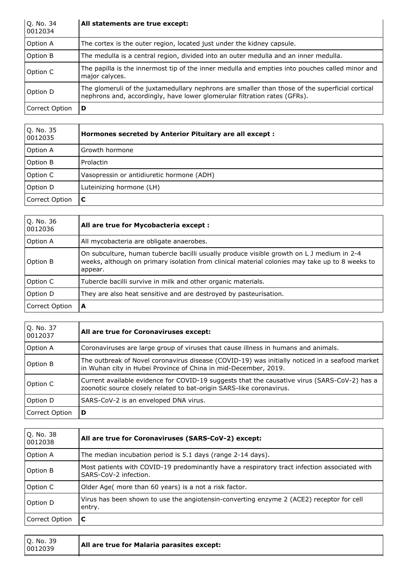| Q. No. 34<br>0012034 | All statements are true except:                                                                                                                                              |
|----------------------|------------------------------------------------------------------------------------------------------------------------------------------------------------------------------|
| Option A             | The cortex is the outer region, located just under the kidney capsule.                                                                                                       |
| Option B             | The medulla is a central region, divided into an outer medulla and an inner medulla.                                                                                         |
| Option C             | The papilla is the innermost tip of the inner medulla and empties into pouches called minor and<br>major calyces.                                                            |
| Option D             | The glomeruli of the juxtamedullary nephrons are smaller than those of the superficial cortical<br>nephrons and, accordingly, have lower glomerular filtration rates (GFRs). |
| Correct Option       | D                                                                                                                                                                            |

| Q. No. 35<br>0012035 | Hormones secreted by Anterior Pituitary are all except : |
|----------------------|----------------------------------------------------------|
| Option A             | Growth hormone                                           |
| Option B             | Prolactin                                                |
| Option C             | Vasopressin or antidiuretic hormone (ADH)                |
| Option D             | Luteinizing hormone (LH)                                 |
| Correct Option       | C                                                        |

| Q. No. 36<br>0012036 | All are true for Mycobacteria except :                                                                                                                                                                 |
|----------------------|--------------------------------------------------------------------------------------------------------------------------------------------------------------------------------------------------------|
| Option A             | All mycobacteria are obligate anaerobes.                                                                                                                                                               |
| Option B             | On subculture, human tubercle bacilli usually produce visible growth on L J medium in 2-4<br>weeks, although on primary isolation from clinical material colonies may take up to 8 weeks to<br>appear. |
| Option C             | Tubercle bacilli survive in milk and other organic materials.                                                                                                                                          |
| Option D             | They are also heat sensitive and are destroyed by pasteurisation.                                                                                                                                      |
| Correct Option       | A                                                                                                                                                                                                      |

| O. No. 37<br>0012037 | All are true for Coronaviruses except:                                                                                                                               |
|----------------------|----------------------------------------------------------------------------------------------------------------------------------------------------------------------|
| Option A             | Coronaviruses are large group of viruses that cause illness in humans and animals.                                                                                   |
| Option B             | The outbreak of Novel coronavirus disease (COVID-19) was initially noticed in a seafood market<br>in Wuhan city in Hubei Province of China in mid-December, 2019.    |
| Option C             | Current available evidence for COVID-19 suggests that the causative virus (SARS-CoV-2) has a<br>zoonotic source closely related to bat-origin SARS-like coronavirus. |
| Option D             | SARS-CoV-2 is an enveloped DNA virus.                                                                                                                                |
| Correct Option       | D                                                                                                                                                                    |

| Q. No. 38<br>0012038 | All are true for Coronaviruses (SARS-CoV-2) except:                                                                   |
|----------------------|-----------------------------------------------------------------------------------------------------------------------|
| Option A             | The median incubation period is 5.1 days (range 2-14 days).                                                           |
| Option B             | Most patients with COVID-19 predominantly have a respiratory tract infection associated with<br>SARS-CoV-2 infection. |
| Option C             | Older Age( more than 60 years) is a not a risk factor.                                                                |
| Option D             | Virus has been shown to use the angiotensin-converting enzyme 2 (ACE2) receptor for cell<br>entry.                    |
| Correct Option       | C                                                                                                                     |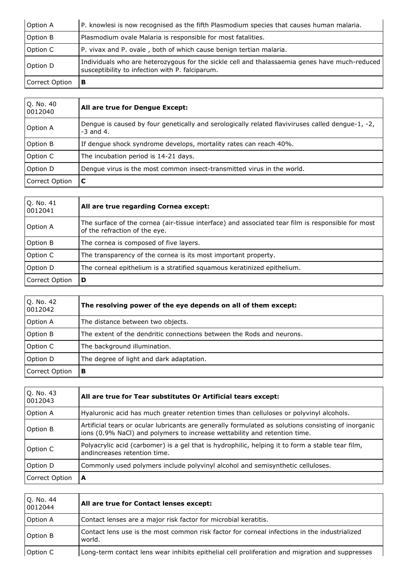| Option A       | P. knowlesi is now recognised as the fifth Plasmodium species that causes human malaria.                                                         |
|----------------|--------------------------------------------------------------------------------------------------------------------------------------------------|
| Option B       | Plasmodium ovale Malaria is responsible for most fatalities.                                                                                     |
| Option C       | P. vivax and P. ovale, both of which cause benign tertian malaria.                                                                               |
| Option D       | Individuals who are heterozygous for the sickle cell and thalassaemia genes have much-reduced<br>susceptibility to infection with P. falciparum. |
| Correct Option | в                                                                                                                                                |

| Q. No. 40<br>0012040 | All are true for Dengue Except:                                                                                 |
|----------------------|-----------------------------------------------------------------------------------------------------------------|
| Option A             | Dengue is caused by four genetically and serologically related flaviviruses called dengue-1, -2,<br>$-3$ and 4. |
| Option B             | If dengue shock syndrome develops, mortality rates can reach 40%.                                               |
| Option C             | The incubation period is 14-21 days.                                                                            |
| Option D             | Dengue virus is the most common insect-transmitted virus in the world.                                          |
| Correct Option       | C                                                                                                               |

| Q. No. 41<br>0012041 | All are true regarding Cornea except:                                                                                              |
|----------------------|------------------------------------------------------------------------------------------------------------------------------------|
| Option A             | The surface of the cornea (air-tissue interface) and associated tear film is responsible for most<br>of the refraction of the eye. |
| Option B             | The cornea is composed of five layers.                                                                                             |
| Option C             | The transparency of the cornea is its most important property.                                                                     |
| Option D             | The corneal epithelium is a stratified squamous keratinized epithelium.                                                            |
| Correct Option       | D                                                                                                                                  |

| O. No. 42<br>0012042 | The resolving power of the eye depends on all of them except:         |
|----------------------|-----------------------------------------------------------------------|
| Option A             | The distance between two objects.                                     |
| Option B             | The extent of the dendritic connections between the Rods and neurons. |
| Option C             | The background illumination.                                          |
| Option D             | The degree of light and dark adaptation.                              |
| Correct Option       | в                                                                     |

| Q. No. 43<br>0012043 | All are true for Tear substitutes Or Artificial tears except:                                                                                                                    |
|----------------------|----------------------------------------------------------------------------------------------------------------------------------------------------------------------------------|
| Option A             | Hyaluronic acid has much greater retention times than celluloses or polyvinyl alcohols.                                                                                          |
| Option B             | Artificial tears or ocular lubricants are generally formulated as solutions consisting of inorganic<br>ions (0.9% NaCl) and polymers to increase wettability and retention time. |
| Option C             | Polyacrylic acid (carbomer) is a gel that is hydrophilic, helping it to form a stable tear film,<br>andincreases retention time.                                                 |
| Option D             | Commonly used polymers include polyvinyl alcohol and semisynthetic celluloses.                                                                                                   |
| Correct Option       | A                                                                                                                                                                                |

| Q. No. 44<br>0012044 | All are true for Contact lenses except:                                                                |
|----------------------|--------------------------------------------------------------------------------------------------------|
| Option A             | Contact lenses are a major risk factor for microbial keratitis.                                        |
| Option B             | Contact lens use is the most common risk factor for corneal infections in the industrialized<br>world. |
| Option C             | Long-term contact lens wear inhibits epithelial cell proliferation and migration and suppresses        |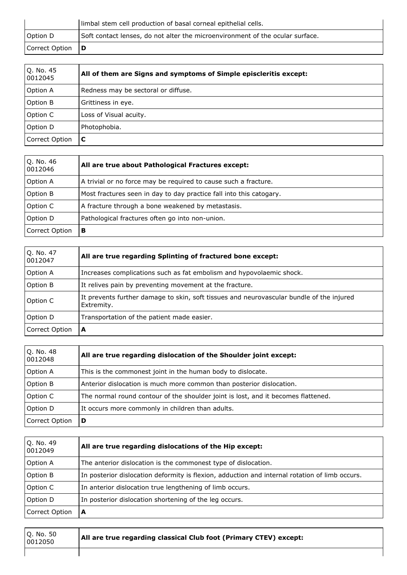|                | limbal stem cell production of basal corneal epithelial cells.                |
|----------------|-------------------------------------------------------------------------------|
| Option D       | Soft contact lenses, do not alter the microenvironment of the ocular surface. |
| Correct Option | l D                                                                           |

| Q. No. 45<br>0012045 | All of them are Signs and symptoms of Simple episcleritis except: |
|----------------------|-------------------------------------------------------------------|
| Option A             | Redness may be sectoral or diffuse.                               |
| Option B             | Grittiness in eye.                                                |
| Option C             | Loss of Visual acuity.                                            |
| Option D             | Photophobia.                                                      |
| Correct Option       | C                                                                 |

| Q. No. 46<br>0012046 | All are true about Pathological Fractures except:                   |
|----------------------|---------------------------------------------------------------------|
| Option A             | A trivial or no force may be required to cause such a fracture.     |
| Option B             | Most fractures seen in day to day practice fall into this catogary. |
| Option C             | A fracture through a bone weakened by metastasis.                   |
| Option D             | Pathological fractures often go into non-union.                     |
| Correct Option       | в                                                                   |

| Q. No. 47<br>0012047 | All are true regarding Splinting of fractured bone except:                                             |
|----------------------|--------------------------------------------------------------------------------------------------------|
| Option A             | Increases complications such as fat embolism and hypovolaemic shock.                                   |
| Option B             | It relives pain by preventing movement at the fracture.                                                |
| Option C             | It prevents further damage to skin, soft tissues and neurovascular bundle of the injured<br>Extremity. |
| Option D             | Transportation of the patient made easier.                                                             |
| Correct Option       | A                                                                                                      |

| Q. No. 48<br>0012048 | All are true regarding dislocation of the Shoulder joint except:                  |
|----------------------|-----------------------------------------------------------------------------------|
| <b>Option A</b>      | This is the commonest joint in the human body to dislocate.                       |
| <b>Option B</b>      | Anterior dislocation is much more common than posterior dislocation.              |
| Option C             | The normal round contour of the shoulder joint is lost, and it becomes flattened. |
| Option D             | It occurs more commonly in children than adults.                                  |
| Correct Option       | D                                                                                 |

| Q. No. 49<br>0012049 | All are true regarding dislocations of the Hip except:                                         |
|----------------------|------------------------------------------------------------------------------------------------|
| <b>Option A</b>      | The anterior dislocation is the commonest type of dislocation.                                 |
| <b>Option B</b>      | In posterior dislocation deformity is flexion, adduction and internal rotation of limb occurs. |
| Option C             | In anterior dislocation true lengthening of limb occurs.                                       |
| Option D             | In posterior dislocation shortening of the leg occurs.                                         |
| Correct Option       | A                                                                                              |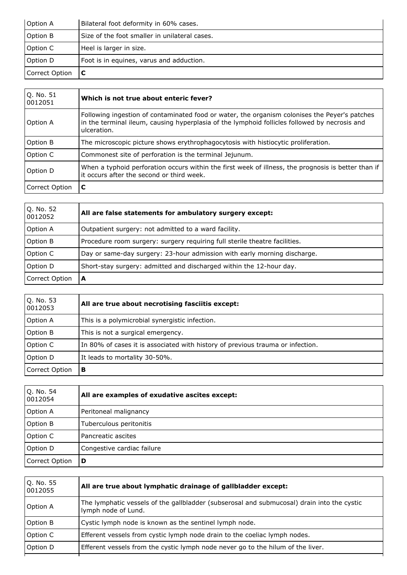| Option A       | Bilateral foot deformity in 60% cases.        |
|----------------|-----------------------------------------------|
| Option B       | Size of the foot smaller in unilateral cases. |
| Option C       | Heel is larger in size.                       |
| Option D       | Foot is in equines, varus and adduction.      |
| Correct Option |                                               |

| Q. No. 51<br>0012051 | Which is not true about enteric fever?                                                                                                                                                                        |
|----------------------|---------------------------------------------------------------------------------------------------------------------------------------------------------------------------------------------------------------|
| Option A             | Following ingestion of contaminated food or water, the organism colonises the Peyer's patches<br>in the terminal ileum, causing hyperplasia of the lymphoid follicles followed by necrosis and<br>ulceration. |
| Option B             | The microscopic picture shows erythrophagocytosis with histiocytic proliferation.                                                                                                                             |
| Option C             | Commonest site of perforation is the terminal Jejunum.                                                                                                                                                        |
| Option D             | When a typhoid perforation occurs within the first week of illness, the prognosis is better than if<br>it occurs after the second or third week.                                                              |
| Correct Option       | C                                                                                                                                                                                                             |

| Q. No. 52<br>0012052 | All are false statements for ambulatory surgery except:                    |
|----------------------|----------------------------------------------------------------------------|
| Option A             | Outpatient surgery: not admitted to a ward facility.                       |
| Option B             | Procedure room surgery: surgery requiring full sterile theatre facilities. |
| Option C             | Day or same-day surgery: 23-hour admission with early morning discharge.   |
| Option D             | Short-stay surgery: admitted and discharged within the 12-hour day.        |
| Correct Option       | A                                                                          |

| Q. No. 53<br>0012053 | All are true about necrotising fasciitis except:                               |
|----------------------|--------------------------------------------------------------------------------|
| Option A             | This is a polymicrobial synergistic infection.                                 |
| Option B             | This is not a surgical emergency.                                              |
| Option C             | In 80% of cases it is associated with history of previous trauma or infection. |
| Option D             | It leads to mortality 30-50%.                                                  |
| Correct Option       | В                                                                              |

| Q. No. 54<br>0012054 | All are examples of exudative ascites except: |
|----------------------|-----------------------------------------------|
| Option A             | Peritoneal malignancy                         |
| Option B             | Tuberculous peritonitis                       |
| Option C             | Pancreatic ascites                            |
| Option D             | Congestive cardiac failure                    |
| Correct Option       | D                                             |

| Q. No. 55<br>0012055 | All are true about lymphatic drainage of gallbladder except:                                                      |
|----------------------|-------------------------------------------------------------------------------------------------------------------|
| Option A             | The lymphatic vessels of the gallbladder (subserosal and submucosal) drain into the cystic<br>lymph node of Lund. |
| Option B             | Cystic lymph node is known as the sentinel lymph node.                                                            |
| Option C             | Efferent vessels from cystic lymph node drain to the coeliac lymph nodes.                                         |
| Option D             | Efferent vessels from the cystic lymph node never go to the hilum of the liver.                                   |
|                      |                                                                                                                   |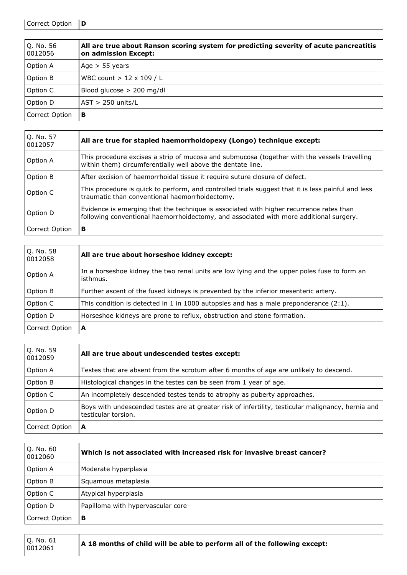Correct Option **D**

| Q. No. 56<br>0012056 | All are true about Ranson scoring system for predicting severity of acute pancreatitis<br>on admission Except: |
|----------------------|----------------------------------------------------------------------------------------------------------------|
| <b>Option A</b>      | Age $> 55$ years                                                                                               |
| Option B             | WBC count $> 12 \times 109 / L$                                                                                |
| Option C             | Blood glucose $> 200$ mg/dl                                                                                    |
| Option D             | $AST > 250$ units/L                                                                                            |
| Correct Option       | в                                                                                                              |

| Q. No. 57<br>0012057 | All are true for stapled haemorrhoidopexy (Longo) technique except:                                                                                                               |
|----------------------|-----------------------------------------------------------------------------------------------------------------------------------------------------------------------------------|
| Option A             | This procedure excises a strip of mucosa and submucosa (together with the vessels travelling<br>within them) circumferentially well above the dentate line.                       |
| Option B             | After excision of haemorrhoidal tissue it require suture closure of defect.                                                                                                       |
| Option C             | This procedure is quick to perform, and controlled trials suggest that it is less painful and less<br>traumatic than conventional haemorrhoidectomy.                              |
| Option D             | Evidence is emerging that the technique is associated with higher recurrence rates than<br>following conventional haemorrhoidectomy, and associated with more additional surgery. |
| Correct Option       | в                                                                                                                                                                                 |

| Q. No. 58<br>0012058 | All are true about horseshoe kidney except:                                                             |
|----------------------|---------------------------------------------------------------------------------------------------------|
| Option A             | In a horseshoe kidney the two renal units are low lying and the upper poles fuse to form an<br>isthmus. |
| Option B             | Further ascent of the fused kidneys is prevented by the inferior mesenteric artery.                     |
| Option C             | This condition is detected in 1 in 1000 autopsies and has a male preponderance $(2:1)$ .                |
| Option D             | Horseshoe kidneys are prone to reflux, obstruction and stone formation.                                 |
| Correct Option       | A                                                                                                       |

| Q. No. 59<br>0012059 | All are true about undescended testes except:                                                                             |
|----------------------|---------------------------------------------------------------------------------------------------------------------------|
| Option A             | Testes that are absent from the scrotum after 6 months of age are unlikely to descend.                                    |
| Option B             | Histological changes in the testes can be seen from 1 year of age.                                                        |
| Option C             | An incompletely descended testes tends to atrophy as puberty approaches.                                                  |
| Option D             | Boys with undescended testes are at greater risk of infertility, testicular malignancy, hernia and<br>testicular torsion. |
| Correct Option       | А                                                                                                                         |

| Q. No. 60<br>0012060 | Which is not associated with increased risk for invasive breast cancer? |
|----------------------|-------------------------------------------------------------------------|
| Option A             | Moderate hyperplasia                                                    |
| Option B             | Squamous metaplasia                                                     |
| Option C             | Atypical hyperplasia                                                    |
| Option D             | Papilloma with hypervascular core                                       |
| Correct Option       | в                                                                       |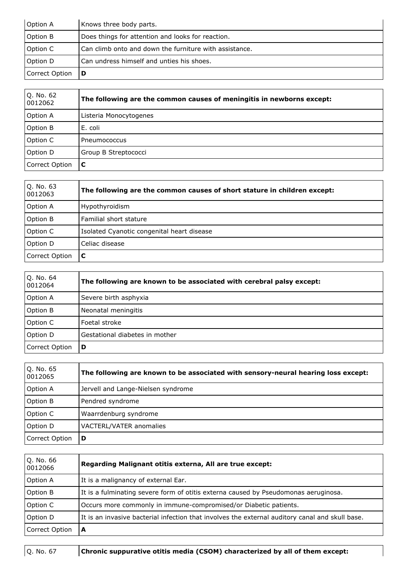| Option A       | Knows three body parts.                                |
|----------------|--------------------------------------------------------|
| Option B       | Does things for attention and looks for reaction.      |
| Option C       | Can climb onto and down the furniture with assistance. |
| Option D       | Can undress himself and unties his shoes.              |
| Correct Option | D                                                      |

| Q. No. 62<br>0012062 | The following are the common causes of meningitis in newborns except: |
|----------------------|-----------------------------------------------------------------------|
| Option A             | Listeria Monocytogenes                                                |
| Option B             | E. coli                                                               |
| Option C             | Pneumococcus                                                          |
| Option D             | Group B Streptococci                                                  |
| Correct Option       | C                                                                     |

| Q. No. 63<br>0012063 | The following are the common causes of short stature in children except: |
|----------------------|--------------------------------------------------------------------------|
| Option A             | Hypothyroidism                                                           |
| Option B             | Familial short stature                                                   |
| Option C             | Isolated Cyanotic congenital heart disease                               |
| Option D             | Celiac disease                                                           |
| Correct Option       | l C                                                                      |

| Q. No. 64<br>0012064 | The following are known to be associated with cerebral palsy except: |
|----------------------|----------------------------------------------------------------------|
| <b>Option A</b>      | Severe birth asphyxia                                                |
| Option B             | Neonatal meningitis                                                  |
| Option C             | Foetal stroke                                                        |
| Option D             | Gestational diabetes in mother                                       |
| Correct Option       | D                                                                    |

| Q. No. 65<br>0012065 | The following are known to be associated with sensory-neural hearing loss except: |
|----------------------|-----------------------------------------------------------------------------------|
| Option A             | Jervell and Lange-Nielsen syndrome                                                |
| Option B             | Pendred syndrome                                                                  |
| Option C             | Waarrdenburg syndrome                                                             |
| Option D             | VACTERL/VATER anomalies                                                           |
| Correct Option       | D                                                                                 |

| Q. No. 66<br>0012066 | Regarding Malignant otitis externa, All are true except:                                        |
|----------------------|-------------------------------------------------------------------------------------------------|
| Option A             | It is a malignancy of external Ear.                                                             |
| Option B             | It is a fulminating severe form of otitis externa caused by Pseudomonas aeruginosa.             |
| Option C             | Occurs more commonly in immune-compromised/or Diabetic patients.                                |
| Option D             | It is an invasive bacterial infection that involves the external auditory canal and skull base. |
| Correct Option       | A                                                                                               |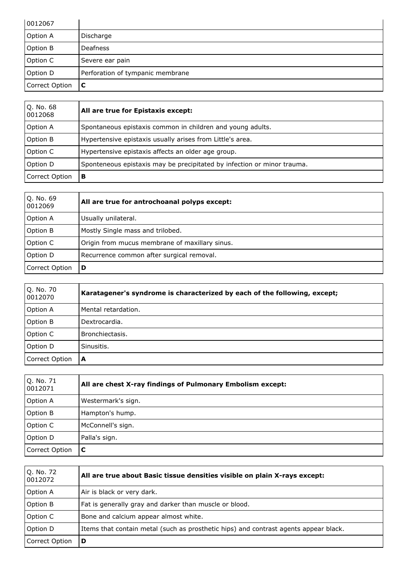| 0012067        |                                  |
|----------------|----------------------------------|
| Option A       | Discharge                        |
| Option B       | <b>Deafness</b>                  |
| Option C       | Severe ear pain                  |
| Option D       | Perforation of tympanic membrane |
| Correct Option | C                                |

| Q. No. 68<br>0012068 | All are true for Epistaxis except:                                      |
|----------------------|-------------------------------------------------------------------------|
| <b>Option A</b>      | Spontaneous epistaxis common in children and young adults.              |
| Option B             | Hypertensive epistaxis usually arises from Little's area.               |
| Option C             | Hypertensive epistaxis affects an older age group.                      |
| Option D             | Sponteneous epistaxis may be precipitated by infection or minor trauma. |
| Correct Option       | в                                                                       |

| Q. No. 69<br>0012069 | All are true for antrochoanal polyps except:   |
|----------------------|------------------------------------------------|
| Option A             | Usually unilateral.                            |
| Option B             | Mostly Single mass and trilobed.               |
| Option C             | Origin from mucus membrane of maxillary sinus. |
| Option D             | Recurrence common after surgical removal.      |
| Correct Option       | D                                              |

| Q. No. 70<br>0012070 | Karatagener's syndrome is characterized by each of the following, except; |
|----------------------|---------------------------------------------------------------------------|
| <b>Option A</b>      | Mental retardation.                                                       |
| Option B             | Dextrocardia.                                                             |
| Option C             | Bronchiectasis.                                                           |
| Option D             | Sinusitis.                                                                |
| Correct Option       | A                                                                         |

| Q. No. 71<br>0012071 | All are chest X-ray findings of Pulmonary Embolism except: |
|----------------------|------------------------------------------------------------|
| Option A             | Westermark's sign.                                         |
| Option B             | Hampton's hump.                                            |
| Option C             | McConnell's sign.                                          |
| Option D             | Palla's sign.                                              |
| Correct Option       | C                                                          |

| Q. No. 72<br>0012072 | All are true about Basic tissue densities visible on plain X-rays except:            |
|----------------------|--------------------------------------------------------------------------------------|
| Option A             | Air is black or very dark.                                                           |
| Option B             | Fat is generally gray and darker than muscle or blood.                               |
| Option C             | Bone and calcium appear almost white.                                                |
| Option D             | Items that contain metal (such as prosthetic hips) and contrast agents appear black. |
| Correct Option       | D                                                                                    |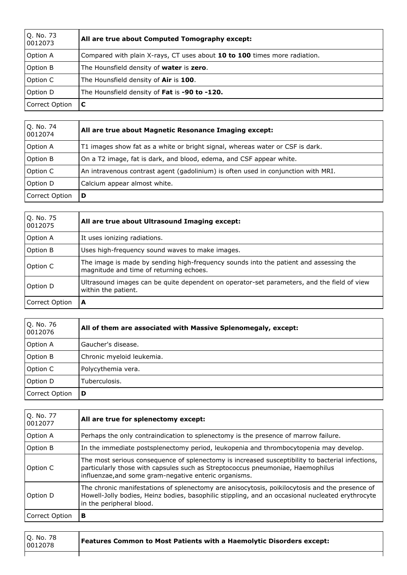| Q. No. 73<br>0012073 | All are true about Computed Tomography except:                            |
|----------------------|---------------------------------------------------------------------------|
| <b>Option A</b>      | Compared with plain X-rays, CT uses about 10 to 100 times more radiation. |
| Option B             | The Hounsfield density of <b>water</b> is <b>zero</b> .                   |
| Option C             | The Hounsfield density of Air is 100.                                     |
| Option D             | The Hounsfield density of Fat is -90 to -120.                             |
| Correct Option       | C                                                                         |

| Q. No. 74<br>0012074 | All are true about Magnetic Resonance Imaging except:                             |
|----------------------|-----------------------------------------------------------------------------------|
| Option A             | T1 images show fat as a white or bright signal, whereas water or CSF is dark.     |
| Option B             | On a T2 image, fat is dark, and blood, edema, and CSF appear white.               |
| Option C             | An intravenous contrast agent (gadolinium) is often used in conjunction with MRI. |
| Option D             | Calcium appear almost white.                                                      |
| Correct Option       | D                                                                                 |

| Q. No. 75<br>0012075 | All are true about Ultrasound Imaging except:                                                                                    |
|----------------------|----------------------------------------------------------------------------------------------------------------------------------|
| Option A             | It uses ionizing radiations.                                                                                                     |
| Option B             | Uses high-frequency sound waves to make images.                                                                                  |
| Option C             | The image is made by sending high-frequency sounds into the patient and assessing the<br>magnitude and time of returning echoes. |
| Option D             | Ultrasound images can be quite dependent on operator-set parameters, and the field of view<br>within the patient.                |
| Correct Option       | A                                                                                                                                |

| Q. No. 76<br>0012076 | All of them are associated with Massive Splenomegaly, except: |
|----------------------|---------------------------------------------------------------|
| <b>Option A</b>      | Gaucher's disease.                                            |
| Option B             | Chronic myeloid leukemia.                                     |
| Option C             | Polycythemia vera.                                            |
| Option D             | Tuberculosis.                                                 |
| Correct Option       | D                                                             |

| Q. No. 77<br>0012077 | All are true for splenectomy except:                                                                                                                                                                                                        |
|----------------------|---------------------------------------------------------------------------------------------------------------------------------------------------------------------------------------------------------------------------------------------|
| Option A             | Perhaps the only contraindication to splenectomy is the presence of marrow failure.                                                                                                                                                         |
| Option B             | In the immediate postsplenectomy period, leukopenia and thrombocytopenia may develop.                                                                                                                                                       |
| Option C             | The most serious consequence of splenectomy is increased susceptibility to bacterial infections,<br>particularly those with capsules such as Streptococcus pneumoniae, Haemophilus<br>influenzae, and some gram-negative enteric organisms. |
| Option D             | The chronic manifestations of splenectomy are anisocytosis, poikilocytosis and the presence of<br>Howell-Jolly bodies, Heinz bodies, basophilic stippling, and an occasional nucleated erythrocyte<br>in the peripheral blood.              |
| Correct Option       | в                                                                                                                                                                                                                                           |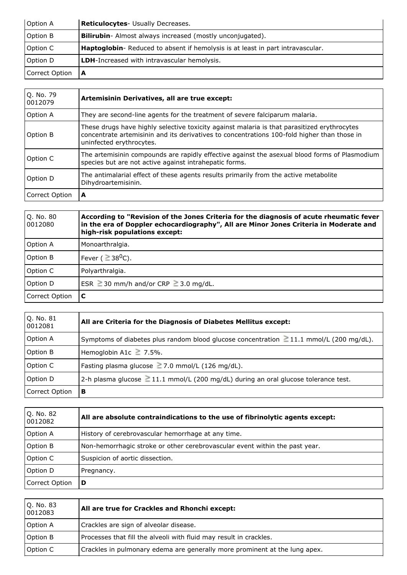| Option A       | Reticulocytes- Usually Decreases.                                              |
|----------------|--------------------------------------------------------------------------------|
| Option B       | <b>Bilirubin-</b> Almost always increased (mostly unconjugated).               |
| Option C       | Haptoglobin- Reduced to absent if hemolysis is at least in part intravascular. |
| Option D       | <b>LDH-Increased with intravascular hemolysis.</b>                             |
| Correct Option |                                                                                |

| Q. No. 79<br>0012079 | Artemisinin Derivatives, all are true except:                                                                                                                                                                          |
|----------------------|------------------------------------------------------------------------------------------------------------------------------------------------------------------------------------------------------------------------|
| Option A             | They are second-line agents for the treatment of severe falciparum malaria.                                                                                                                                            |
| Option B             | These drugs have highly selective toxicity against malaria is that parasitized erythrocytes<br>concentrate artemisinin and its derivatives to concentrations 100-fold higher than those in<br>uninfected erythrocytes. |
| Option C             | The artemisinin compounds are rapidly effective against the asexual blood forms of Plasmodium<br>species but are not active against intrahepatic forms.                                                                |
| Option D             | The antimalarial effect of these agents results primarily from the active metabolite<br>Dihydroartemisinin.                                                                                                            |
| Correct Option       | А                                                                                                                                                                                                                      |

| Q. No. 80<br>0012080 | According to "Revision of the Jones Criteria for the diagnosis of acute rheumatic fever<br>in the era of Doppler echocardiography", All are Minor Jones Criteria in Moderate and<br>high-risk populations except: |
|----------------------|-------------------------------------------------------------------------------------------------------------------------------------------------------------------------------------------------------------------|
| Option A             | Monoarthralgia.                                                                                                                                                                                                   |
| Option B             | $^\textsf{l}$ Fever ( $\geq$ 38 $^0$ C).                                                                                                                                                                          |
| Option C             | Polyarthralgia.                                                                                                                                                                                                   |
| Option D             | ESR $\geq$ 30 mm/h and/or CRP $\geq$ 3.0 mg/dL.                                                                                                                                                                   |
| Correct Option       | C                                                                                                                                                                                                                 |

| $Q.$ No. $81$<br>0012081 | All are Criteria for the Diagnosis of Diabetes Mellitus except:                              |
|--------------------------|----------------------------------------------------------------------------------------------|
| Option A                 | Symptoms of diabetes plus random blood glucose concentration $\geq 11.1$ mmol/L (200 mg/dL). |
| Option B                 | Hemoglobin A1c $\geq$ 7.5%.                                                                  |
| Option C                 | Fasting plasma glucose $\geq$ 7.0 mmol/L (126 mg/dL).                                        |
| Option D                 | 2-h plasma glucose $\geq$ 11.1 mmol/L (200 mg/dL) during an oral glucose tolerance test.     |
| Correct Option           | в                                                                                            |

| Q. No. 82<br>0012082 | All are absolute contraindications to the use of fibrinolytic agents except: |
|----------------------|------------------------------------------------------------------------------|
| Option A             | History of cerebrovascular hemorrhage at any time.                           |
| Option B             | Non-hemorrhagic stroke or other cerebrovascular event within the past year.  |
| Option C             | Suspicion of aortic dissection.                                              |
| Option D             | Pregnancy.                                                                   |
| Correct Option       | D                                                                            |

| Q. No. 83<br>0012083 | All are true for Crackles and Rhonchi except:                              |
|----------------------|----------------------------------------------------------------------------|
| Option A             | Crackles are sign of alveolar disease.                                     |
| Option B             | Processes that fill the alveoli with fluid may result in crackles.         |
| Option C             | Crackles in pulmonary edema are generally more prominent at the lung apex. |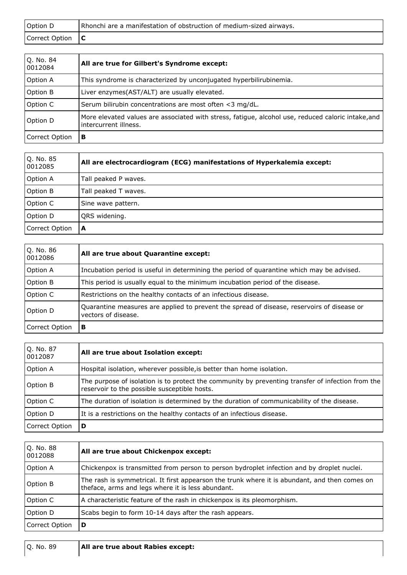| Option D               | Rhonchi are a manifestation of obstruction of medium-sized airways. |
|------------------------|---------------------------------------------------------------------|
| Correct Option $\ C\ $ |                                                                     |
|                        |                                                                     |

| Q. No. 84<br>0012084 | All are true for Gilbert's Syndrome except:                                                                                 |
|----------------------|-----------------------------------------------------------------------------------------------------------------------------|
| Option A             | This syndrome is characterized by unconjugated hyperbilirubinemia.                                                          |
| <b>Option B</b>      | Liver enzymes(AST/ALT) are usually elevated.                                                                                |
| Option C             | Serum bilirubin concentrations are most often <3 mg/dL.                                                                     |
| Option D             | More elevated values are associated with stress, fatigue, alcohol use, reduced caloric intake, and<br>intercurrent illness. |
| Correct Option       | в                                                                                                                           |

| Q. No. 85<br>0012085 | All are electrocardiogram (ECG) manifestations of Hyperkalemia except: |
|----------------------|------------------------------------------------------------------------|
| Option A             | Tall peaked P waves.                                                   |
| Option B             | Tall peaked T waves.                                                   |
| Option C             | Sine wave pattern.                                                     |
| Option D             | QRS widening.                                                          |
| Correct Option       | A                                                                      |

| O. No. 86<br>0012086 | All are true about Quarantine except:                                                                             |
|----------------------|-------------------------------------------------------------------------------------------------------------------|
| Option A             | Incubation period is useful in determining the period of quarantine which may be advised.                         |
| Option B             | This period is usually equal to the minimum incubation period of the disease.                                     |
| Option C             | Restrictions on the healthy contacts of an infectious disease.                                                    |
| Option D             | Quarantine measures are applied to prevent the spread of disease, reservoirs of disease or<br>vectors of disease. |
| Correct Option       | в                                                                                                                 |

| Q. No. 87<br>0012087 | All are true about Isolation except:                                                                                                              |
|----------------------|---------------------------------------------------------------------------------------------------------------------------------------------------|
| Option A             | Hospital isolation, wherever possible, is better than home isolation.                                                                             |
| Option B             | The purpose of isolation is to protect the community by preventing transfer of infection from the<br>reservoir to the possible susceptible hosts. |
| Option C             | The duration of isolation is determined by the duration of communicability of the disease.                                                        |
| Option D             | It is a restrictions on the healthy contacts of an infectious disease.                                                                            |
| Correct Option       | D                                                                                                                                                 |

| Q. No. 88<br>0012088 | All are true about Chickenpox except:                                                                                                              |
|----------------------|----------------------------------------------------------------------------------------------------------------------------------------------------|
| Option A             | Chickenpox is transmitted from person to person bydroplet infection and by droplet nuclei.                                                         |
| Option B             | The rash is symmetrical. It first appearson the trunk where it is abundant, and then comes on<br>theface, arms and legs where it is less abundant. |
| Option C             | A characteristic feature of the rash in chickenpox is its pleomorphism.                                                                            |
| Option D             | Scabs begin to form 10-14 days after the rash appears.                                                                                             |
| Correct Option       | D                                                                                                                                                  |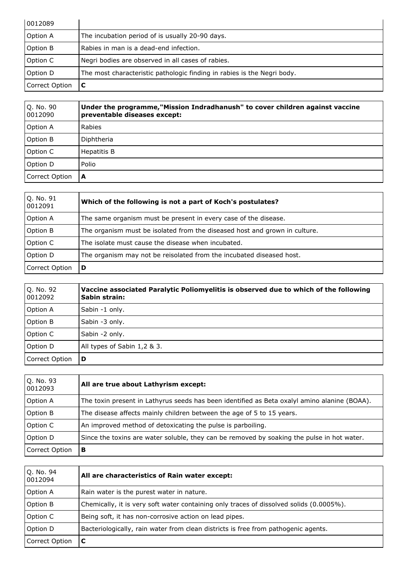| 0012089        |                                                                         |
|----------------|-------------------------------------------------------------------------|
| Option A       | The incubation period of is usually 20-90 days.                         |
| Option B       | Rabies in man is a dead-end infection.                                  |
| Option C       | Negri bodies are observed in all cases of rabies.                       |
| Option D       | The most characteristic pathologic finding in rabies is the Negri body. |
| Correct Option |                                                                         |

| Q. No. 90<br>0012090 | Under the programme, "Mission Indradhanush" to cover children against vaccine<br>preventable diseases except: |
|----------------------|---------------------------------------------------------------------------------------------------------------|
| Option A             | Rabies                                                                                                        |
| Option B             | Diphtheria                                                                                                    |
| Option C             | Hepatitis B                                                                                                   |
| Option D             | Polio                                                                                                         |
| Correct Option       | A                                                                                                             |

| Q. No. 91<br>0012091 | Which of the following is not a part of Koch's postulates?                 |
|----------------------|----------------------------------------------------------------------------|
| Option A             | The same organism must be present in every case of the disease.            |
| Option B             | The organism must be isolated from the diseased host and grown in culture. |
| Option C             | The isolate must cause the disease when incubated.                         |
| Option D             | The organism may not be reisolated from the incubated diseased host.       |
| Correct Option       | D                                                                          |

| Q. No. 92<br>0012092 | Vaccine associated Paralytic Poliomyelitis is observed due to which of the following<br>Sabin strain: |
|----------------------|-------------------------------------------------------------------------------------------------------|
| Option A             | Sabin -1 only.                                                                                        |
| Option B             | Sabin -3 only.                                                                                        |
| Option C             | Sabin -2 only.                                                                                        |
| Option D             | All types of Sabin 1,2 & 3.                                                                           |
| Correct Option       | D                                                                                                     |

| Q. No. 93<br>0012093 | All are true about Lathyrism except:                                                         |  |
|----------------------|----------------------------------------------------------------------------------------------|--|
| Option A             | The toxin present in Lathyrus seeds has been identified as Beta oxalyl amino alanine (BOAA). |  |
| Option B             | The disease affects mainly children between the age of 5 to 15 years.                        |  |
| Option C             | An improved method of detoxicating the pulse is parboiling.                                  |  |
| Option D             | Since the toxins are water soluble, they can be removed by soaking the pulse in hot water.   |  |
| Correct Option       | в                                                                                            |  |

| Q. No. 94<br>0012094 | All are characteristics of Rain water except:                                           |  |
|----------------------|-----------------------------------------------------------------------------------------|--|
| Option A             | Rain water is the purest water in nature.                                               |  |
| Option B             | Chemically, it is very soft water containing only traces of dissolved solids (0.0005%). |  |
| Option C             | Being soft, it has non-corrosive action on lead pipes.                                  |  |
| Option D             | Bacteriologically, rain water from clean districts is free from pathogenic agents.      |  |
| Correct Option       |                                                                                         |  |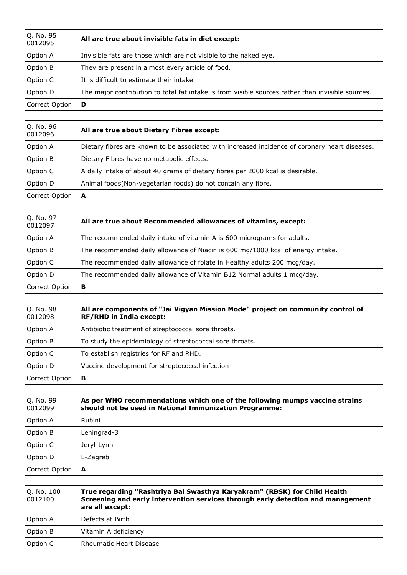| Q. No. 95<br>0012095 | All are true about invisible fats in diet except:                                                 |  |
|----------------------|---------------------------------------------------------------------------------------------------|--|
| Option A             | Invisible fats are those which are not visible to the naked eye.                                  |  |
| <b>Option B</b>      | They are present in almost every article of food.                                                 |  |
| Option C             | It is difficult to estimate their intake.                                                         |  |
| Option D             | The major contribution to total fat intake is from visible sources rather than invisible sources. |  |
| Correct Option       | D                                                                                                 |  |

| Q. No. 96<br>0012096 | All are true about Dietary Fibres except:                                                      |  |
|----------------------|------------------------------------------------------------------------------------------------|--|
| Option A             | Dietary fibres are known to be associated with increased incidence of coronary heart diseases. |  |
| Option B             | Dietary Fibres have no metabolic effects.                                                      |  |
| Option C             | A daily intake of about 40 grams of dietary fibres per 2000 kcal is desirable.                 |  |
| Option D             | Animal foods(Non-vegetarian foods) do not contain any fibre.                                   |  |
| Correct Option       | А                                                                                              |  |

| Q. No. 97<br>0012097 | All are true about Recommended allowances of vitamins, except:                  |
|----------------------|---------------------------------------------------------------------------------|
| Option A             | The recommended daily intake of vitamin A is 600 micrograms for adults.         |
| Option B             | The recommended daily allowance of Niacin is 600 mg/1000 kcal of energy intake. |
| Option C             | The recommended daily allowance of folate in Healthy adults 200 mcg/day.        |
| Option D             | The recommended daily allowance of Vitamin B12 Normal adults 1 mcg/day.         |
| Correct Option       | в                                                                               |

| Q. No. 98<br>0012098 | All are components of "Jai Vigyan Mission Mode" project on community control of<br>RF/RHD in India except: |  |
|----------------------|------------------------------------------------------------------------------------------------------------|--|
| Option A             | Antibiotic treatment of streptococcal sore throats.                                                        |  |
| Option B             | To study the epidemiology of streptococcal sore throats.                                                   |  |
| Option C             | To establish registries for RF and RHD.                                                                    |  |
| Option D             | Vaccine development for streptococcal infection                                                            |  |
| Correct Option       | в                                                                                                          |  |

| Q. No. 99<br>0012099 | As per WHO recommendations which one of the following mumps vaccine strains<br>should not be used in National Immunization Programme: |  |
|----------------------|---------------------------------------------------------------------------------------------------------------------------------------|--|
| Option A             | Rubini                                                                                                                                |  |
| Option B             | Leningrad-3                                                                                                                           |  |
| Option C             | Jeryl-Lynn                                                                                                                            |  |
| Option D             | L-Zagreb                                                                                                                              |  |
| Correct Option       | A                                                                                                                                     |  |

| Q. No. 100<br>0012100 | True regarding "Rashtriya Bal Swasthya Karyakram" (RBSK) for Child Health<br>Screening and early intervention services through early detection and management<br>are all except: |
|-----------------------|----------------------------------------------------------------------------------------------------------------------------------------------------------------------------------|
| Option A              | Defects at Birth                                                                                                                                                                 |
| Option B              | Vitamin A deficiency                                                                                                                                                             |
| Option C              | <b>Rheumatic Heart Disease</b>                                                                                                                                                   |
|                       |                                                                                                                                                                                  |